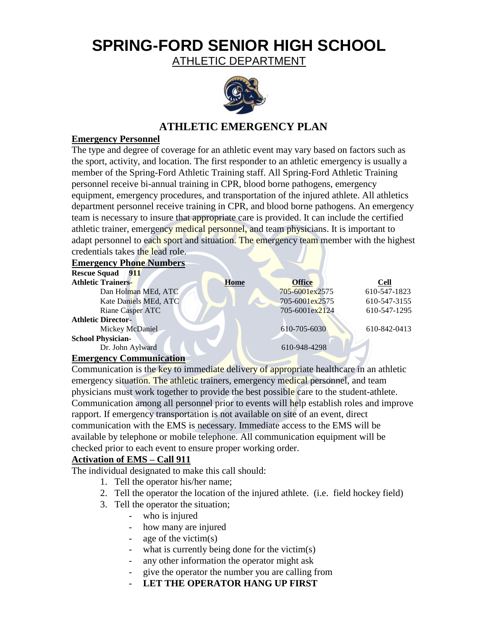# **SPRING-FORD SENIOR HIGH SCHOOL**

ATHLETIC DEPARTMENT



# **ATHLETIC EMERGENCY PLAN**

# **Emergency Personnel**

The type and degree of coverage for an athletic event may vary based on factors such as the sport, activity, and location. The first responder to an athletic emergency is usually a member of the Spring-Ford Athletic Training staff. All Spring-Ford Athletic Training personnel receive bi-annual training in CPR, blood borne pathogens, emergency equipment, emergency procedures, and transportation of the injured athlete. All athletics department personnel receive training in CPR, and blood borne pathogens. An emergency team is necessary to insure that appropriate care is provided. It can include the certified athletic trainer, emergency medical personnel, and team physicians. It is important to adapt personnel to each sport and situation. The emergency team member with the highest credentials takes the lead role.

## **Emergency Phone Numbers**

| <b>Rescue Squad</b><br>911     |             |                |              |
|--------------------------------|-------------|----------------|--------------|
| <b>Athletic Trainers-</b>      | <b>Home</b> | <b>Office</b>  | <b>Cell</b>  |
| Dan Holman MEd, ATC            |             | 705-6001ex2575 | 610-547-1823 |
| Kate Daniels MEd, ATC          |             | 705-6001ex2575 | 610-547-3155 |
| Riane Casper ATC               |             | 705-6001ex2124 | 610-547-1295 |
| <b>Athletic Director-</b>      |             |                |              |
| Mickey McDaniel                |             | 610-705-6030   | 610-842-0413 |
| <b>School Physician-</b>       |             |                |              |
| Dr. John Aylward               |             | 610-948-4298   |              |
| <b>Emergency Communication</b> |             |                |              |

## **Emergency Communication**

Communication is the key to immediate delivery of appropriate healthcare in an athletic emergency situation. The athletic trainers, emergency medical personnel, and team physicians must work together to provide the best possible care to the student-athlete. Communication among all personnel prior to events will help establish roles and improve rapport. If emergency transportation is not available on site of an event, direct communication with the EMS is necessary. Immediate access to the EMS will be available by telephone or mobile telephone. All communication equipment will be checked prior to each event to ensure proper working order.

# **Activation of EMS – Call 911**

The individual designated to make this call should:

- 1. Tell the operator his/her name;
- 2. Tell the operator the location of the injured athlete. (i.e. field hockey field)
- 3. Tell the operator the situation;
	- who is injured
	- how many are injured
	- age of the victim $(s)$
	- what is currently being done for the victim(s)
	- any other information the operator might ask
	- give the operator the number you are calling from
	- **LET THE OPERATOR HANG UP FIRST**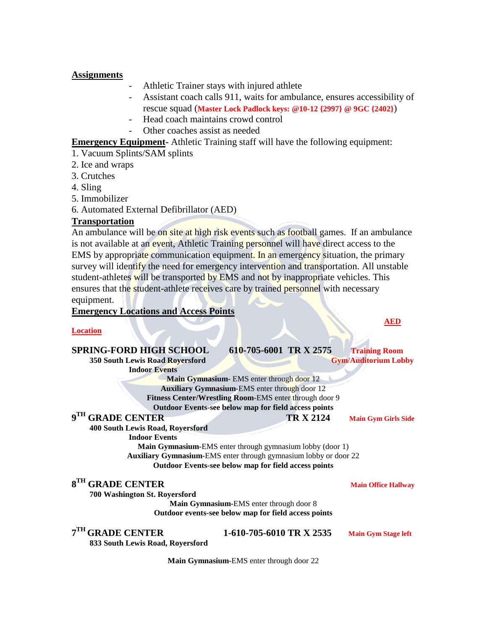### **Assignments**

- Athletic Trainer stays with injured athlete
- Assistant coach calls 911, waits for ambulance, ensures accessibility of rescue squad (**Master Lock Padlock keys: @10-12 {2997} @ 9GC {2402}**)
- Head coach maintains crowd control
- Other coaches assist as needed

# **Emergency Equipment-** Athletic Training staff will have the following equipment:

- 1. Vacuum Splints/SAM splints
- 2. Ice and wraps
- 3. Crutches
- 4. Sling
- 5. Immobilizer
- 6. Automated External Defibrillator (AED)

## **Transportation**

An ambulance will be on site at high risk events such as football games. If an ambulance is not available at an event, Athletic Training personnel will have direct access to the EMS by appropriate communication equipment. In an emergency situation, the primary survey will identify the need for emergency intervention and transportation. All unstable student-athletes will be transported by EMS and not by inappropriate vehicles. This ensures that the student-athlete receives care by trained personnel with necessary equipment.

## **Emergency Locations and Access Points**

#### **Location**

| <b>SPRING-FORD HIGH SCHOOL</b>                                   | 610-705-6001 TR X 2575   |                  | <b>Training Room</b>        |  |
|------------------------------------------------------------------|--------------------------|------------------|-----------------------------|--|
| 350 South Lewis Road Royersford                                  |                          |                  | <b>Gym/Auditorium Lobby</b> |  |
| <b>Indoor Events</b>                                             |                          |                  |                             |  |
| Main Gymnasium- EMS enter through door 12                        |                          |                  |                             |  |
| <b>Auxiliary Gymnasium-EMS</b> enter through door 12             |                          |                  |                             |  |
| Fitness Center/Wrestling Room-EMS enter through door 9           |                          |                  |                             |  |
| Outdoor Events-see below map for field access points             |                          |                  |                             |  |
| 9 <sup>TH</sup> GRADE CENTER                                     |                          | <b>TR X 2124</b> | <b>Main Gym Girls Side</b>  |  |
| <b>400 South Lewis Road, Royersford</b>                          |                          |                  |                             |  |
| <b>Indoor Events</b>                                             |                          |                  |                             |  |
| <b>Main Gymnasium-EMS</b> enter through gymnasium lobby (door 1) |                          |                  |                             |  |
| Auxiliary Gymnasium-EMS enter through gymnasium lobby or door 22 |                          |                  |                             |  |
| <b>Outdoor Events-see below map for field access points</b>      |                          |                  |                             |  |
| 8 <sup>TH</sup> GRADE CENTER                                     |                          |                  | <b>Main Office Hallway</b>  |  |
| 700 Washington St. Royersford                                    |                          |                  |                             |  |
| Main Gymnasium-EMS enter through door 8                          |                          |                  |                             |  |
| Outdoor events-see below map for field access points             |                          |                  |                             |  |
|                                                                  |                          |                  |                             |  |
| $7TH$ GRADE CENTER                                               | 1-610-705-6010 TR X 2535 |                  | <b>Main Gym Stage left</b>  |  |
| 833 South Lewis Road, Royersford                                 |                          |                  |                             |  |
| <b>Main Gymnasium-EMS</b> enter through door 22                  |                          |                  |                             |  |

**AED AED**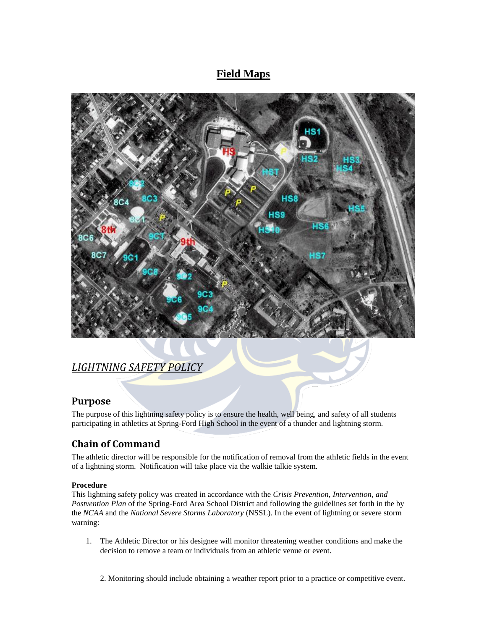# **Field Maps**



# *LIGHTNING SAFETY POLICY*

# **Purpose**

The purpose of this lightning safety policy is to ensure the health, well being, and safety of all students participating in athletics at Spring-Ford High School in the event of a thunder and lightning storm.

# **Chain of Command**

The athletic director will be responsible for the notification of removal from the athletic fields in the event of a lightning storm. Notification will take place via the walkie talkie system.

## **Procedure**

This lightning safety policy was created in accordance with the *Crisis Prevention, Intervention, and Postvention Plan* of the Spring-Ford Area School District and following the guidelines set forth in the by the *NCAA* and the *National Severe Storms Laboratory* (NSSL). In the event of lightning or severe storm warning:

- 1. The Athletic Director or his designee will monitor threatening weather conditions and make the decision to remove a team or individuals from an athletic venue or event.
	- 2. Monitoring should include obtaining a weather report prior to a practice or competitive event.